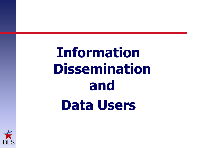# **Information Dissemination and Data Users**

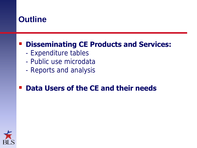#### **Outline**

#### **Disseminating CE Products and Services:**

- Expenditure tables
- Public use microdata
- Reports and analysis

#### **Data Users of the CE and their needs**

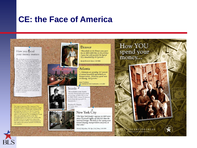#### **CE: the Face of America**

#### How you spend your money matters

As the founder of American Demographics<br>magazine, Peter Francesc (currently director of magazine, retor runners (certrenty attended)<br>Economic Partnership) states: "Providers of<br>goods and services need timely and accurate information about consumer demand. It is eitable important for researchers and force sners. to understand the spending behavior trends of different types of households such as horreowners, or married couples. Only the BLS surveys are large, accurate, and consistent. enough to provide annually comparable data on constituter spending for so many different great value to businesses looking at where to expansi (and thus to create jobs), but it is also useful to answer questions about the need for a fordable housing or public transportation. I have been using the Consumer Expenditure data for many purposes for over 20 years, and<br>I can safely say that not economic growth would be a lot less predictable and probably<br>smaller without it."

Your loper is important. How important? Your household, chosen randomly to participate, actually represents as many as 15,000 other households' By participating, you make sure that the Commer-Expenditure Survey is as accurate as possible and represents all Americans. You are helping the United States and performing a public service. Your participation gives you a voice in the spatiatics that are used to evaluate and guide the actions of the Federal Government. By law, your participation is kept confidential, and you cannot be identified by жил технология









"Households in the Denver area spent less in 2003-2004 than in the previous<br>less in 2003-2004 than in the previous<br>2 years but still exceeded the typical<br>U.S. household by 15.5 percent..."

Rocky Mountain News, 5.19.2006

#### Atlanta

"...Atlantans are spending 18.7 percent<br>of annual household expenditures on<br>transportation...Atlantans spend more on housing, 36.8 percent."

Tanet Trankston. The Atlanta Vournal Constitution, 6.15.2005

#### Seattle ·

"Households in the Seattle-Tacoma-Bremerton area spent an average of \$48,348 a vear in 2001-2002, about 21 percent more than the typical U.S. household..."

Stephen H. Dunphy The Seattle Times 5.16.2004

#### New York City

"The New York family's expenses in 2003 were<br>about 25 percent higher, at \$50,319, than the<br>national average. The bulk of that money went<br>toward housing, transportation and food, in that order."

Patrick Medjeehan, The New York Times, 5.20.2006

#### How YOU<br>spend your money...

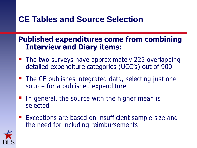# **CE Tables and Source Selection**

#### **Published expenditures come from combining Interview and Diary items:**

- The two surveys have approximately 225 overlapping detailed expenditure categories (UCC's) out of 900
- The CE publishes integrated data, selecting just one source for a published expenditure
- In general, the source with the higher mean is selected
- Exceptions are based on insufficient sample size and the need for including reimbursements

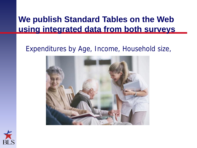# **We publish Standard Tables on the Web using integrated data from both surveys**

#### Expenditures by Age, Income, Household size,



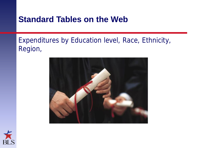#### **Standard Tables on the Web**

#### Expenditures by Education level, Race, Ethnicity, Region,



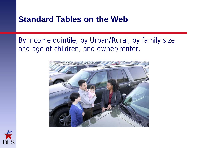#### **Standard Tables on the Web**

#### By income quintile, by Urban/Rural, by family size and age of children, and owner/renter.



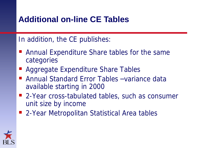# **Additional on-line CE Tables**

In addition, the CE publishes:

- Annual Expenditure Share tables for the same categories
- Aggregate Expenditure Share Tables
- Annual Standard Error Tables –variance data available starting in 2000
- 2-Year cross-tabulated tables, such as consumer unit size by income
- 2-Year Metropolitan Statistical Area tables

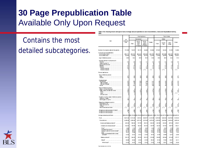# **30 Page Prepublication Table** Available Only Upon Request

# Contains the most detailed subcategories.

**Housing teaure** Tspe of area Holladwick **USA** AB **Sec** Hotel Home **UNK Redes** Rusa owner **Grande Certain CRUZ** Total Total **MON HIGH-WA** City Lichary. **TechNolde MOTORIAL** Number of consumer write (in Mexican de) 117,958 78.073 \$6.973 18,800 10.294 107.003 \$4,393 72.700 10,389 Consumer with shared endices **Seconda Back or Second MED 31** \$70.79 \$82,622 **855 545** \$13.797 \$50,074 **WER WAN** \$10.791 \$40,554 **Doctor After Server** 88,906 87,836 39.51 48,735 313,009 \$7,480 49.855 10.000 44, 873 et t  $12.5$ 481 62.5 40.8 484 49.3 510 Age of reference person. 461 Average number is consumer with Persons  $21$  $21$ 21  $\pm$  $2.3$  $\pm i$ 2.8 38 Childhen up der 19. Persons 05 and over<br>Rammes t. ű ú Vehicles ii 語  $^{11}$ 18<br>18  $2.1$ 30 **Vehicles** General's  $1.5$ 14  $\mathcal{I}$ 38  $111$ ċ١  $e^{it}$ **Vehicles (leased)** Petert detailers Securing Assesses persons  $47$ **Adults** 4f 41 45 ø Fenale ñ. Housing tenure:<br>Homewoor  $82$ 134 10 **Million Action** 40 × **SEC CA**  $\frac{0.4}{100}$ 引出证  $48$  $100$ Ë ø n.e. is  $22$ William Innovation 격 ñã iä. ä ü Renter . n.e Race of reference person: **Riadi of Alfond-American** Wilde, Asken, and all other races.  $^{*}$ ×  $\mathbf{B}$ 85 石 Willia  $\mathbf{B}$ Askets All silver to can Hispanic or Latino origin of reference person Hispanic of Latino Nithriganis or Latins is R) si. **Education of reference person** Elisabeth Address (Thrd.) High subcot (0-12) 43 College 48 Never able ded and sher  $e^{it}$ Ľ۴ ē,  $111$ At least one vehicle owned or leased 볇 B All least on a vehicle declared At least one vehicle leased 154,125.00 DF2,250.40 \$10,674.80 \$00,482.10 D47,170.87 \$41,097.50 Ananage annual expenditures \$48,408.93 **Box Term B18 495 69** Post 5,011.29 6712年 7,285.22 5,626.52 4.314.08 0.015.90 5,420.00 62471 5,103.03 Food at home 1,198.99 1,098.48 3,871.9 3,315.8 2,476.00 3,228.9 3,006.0 1,430.00 1,007.49 Cenets and belany products\* 445.0 500.00 STES. 483 Tr 100.00 44T.B 403.8 4812 410.87 Coreals and cereal products\* 142.0 195.92 102.3 161.0 1167  $143.30$ 137.03 1457 189.21 Four\* 63 48 4.5 6.82 п.  $4.7$ Presented New mines." 11.08 13.97 14.35 13.00  $+1$ 11.80 10.51 12.38 10.92 Reside throat and contract consider 88.14 86.51 \$9.13 16 16 70.88 \$7.85 83.14 破話 \$3.83 18.27 11.00  $17.83$ 11.05  $17.54$ 17.10 19.93 Rice" 15.91 8.33 Paste, commed and other cense<br>products\* 21.00 34.61 25.72 2182  $10.76$  $21.85$ 26.00  $22, 27$ 12.89 385.39 321.48 277.77 Balanyarya da 303.1 344 K 323.70 218.58 304.80 105.00 **Bread** \$4.90 88 K \$5.02  $11.58$ 精选 85.10 11.98 89.27 82.11 32.06 32.00  $27.83$ With treath 34.0 35.81 33.81 28.5 32 8 33.49

Table 1782. Housing tenure and type of area: Average annual expenditures and characteristics, Consumer Expenditure Survey,



9005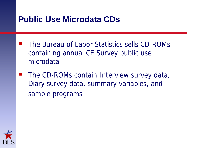#### **Public Use Microdata CDs**

- The Bureau of Labor Statistics sells CD-ROMs containing annual CE Survey public use microdata
- **The CD-ROMs contain Interview survey data,** Diary survey data, summary variables, and sample programs

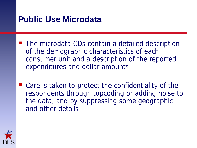### **Public Use Microdata**

- The microdata CDs contain a detailed description of the demographic characteristics of each consumer unit and a description of the reported expenditures and dollar amounts
- Care is taken to protect the confidentiality of the respondents through topcoding or adding noise to the data, and by suppressing some geographic and other details

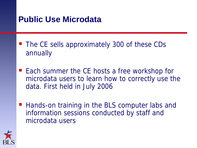# **Public Use Microdata**

- The CE sells approximately 300 of these CDs annually
- Each summer the CE hosts a free workshop for microdata users to learn how to correctly use the data. First held in July 2006
- Hands-on training in the BLS computer labs and information sessions conducted by staff and microdata users

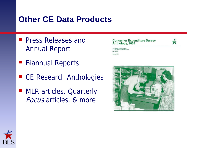#### **Other CE Data Products**

- **Press Releases and** Annual Report
- Biannual Reports
- CE Research Anthologies
- MLR articles, Quarterly Focus articles, & more





U.S. Department of Labor U.S. Pursuau of Labor Statistics McGC huil **Barret GA** 



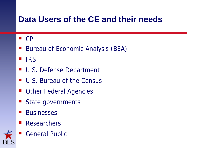# **Data Users of the CE and their needs**

#### $\blacksquare$  CPI

- Bureau of Economic Analysis (BEA)
- $\blacksquare$  IRS
- U.S. Defense Department
- U.S. Bureau of the Census
- Other Federal Agencies
- State governments
- **Businesses**
- Researchers
- General Public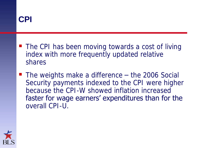

- The CPI has been moving towards a cost of living index with more frequently updated relative shares
- The weights make a difference the 2006 Social Security payments indexed to the CPI were higher because the CPI-W showed inflation increased faster for wage earners' expenditures than for the overall CPI-U.

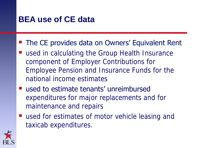# **BEA use of CE data**

#### The CE provides data on Owners' Equivalent Rent

- used in calculating the Group Health Insurance component of Employer Contributions for Employee Pension and Insurance Funds for the national income estimates
- used to estimate tenants' unreimbursed expenditures for major replacements and for maintenance and repairs
- used for estimates of motor vehicle leasing and taxicab expenditures.

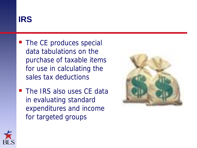# **IRS**

- The CE produces special data tabulations on the purchase of taxable items for use in calculating the sales tax deductions
- The IRS also uses CE data in evaluating standard expenditures and income for targeted groups



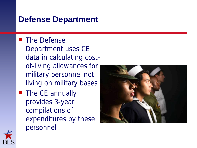#### **Defense Department**

- The Defense Department uses CE data in calculating costof-living allowances for military personnel not living on military bases
- The CE annually provides 3-year compilations of expenditures by these personnel



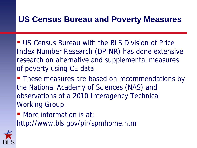# **US Census Bureau and Poverty Measures**

- US Census Bureau with the BLS Division of Price Index Number Research (DPINR) has done extensive research on alternative and supplemental measures of poverty using CE data.
- These measures are based on recommendations by the National Academy of Sciences (NAS) and observations of a 2010 Interagency Technical Working Group.
- More information is at: http://www.bls.gov/pir/spmhome.htm

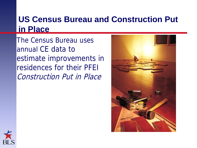# **US Census Bureau and Construction Put in Place**

The Census Bureau uses annual CE data to estimate improvements in residences for their PFEI Construction Put in Place



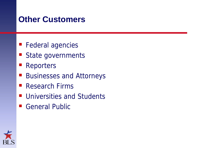#### **Other Customers**

- Federal agencies
- State governments
- **Reporters**
- Businesses and Attorneys
- Research Firms
- **Universities and Students**
- General Public

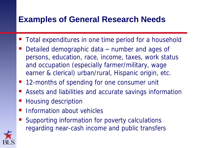# **Examples of General Research Needs**

- Total expenditures in one time period for a household
- Detailed demographic data number and ages of persons, education, race, income, taxes, work status and occupation (especially farmer/military, wage earner & clerical) urban/rural, Hispanic origin, etc.
- 12-months of spending for one consumer unit
- Assets and liabilities and accurate savings information
- Housing description
- **Information about vehicles**
- Supporting information for poverty calculations regarding near-cash income and public transfers

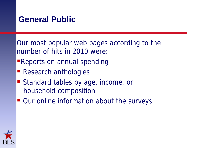# **General Public**

Our most popular web pages according to the number of hits in 2010 were:

- **Reports on annual spending**
- Research anthologies
- Standard tables by age, income, or household composition
- Our online information about the surveys